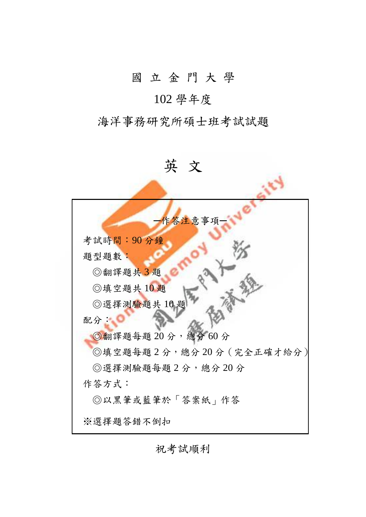# 國 立 金 門 大 學

## 102 學年度

## 海洋事務研究所碩士班考試試題

英 文 作答注意事項 考試時間:90 分鐘 題型題數: ◎翻譯題共 3 題 ◎填空題共 10 題 ◎選擇測驗題共 10 題 配分: ◎翻譯題每題 20分,總分60分 ◎填空題每題 2 分,總分 20 分(完全正確才給分) ◎選擇測驗題每題 2 分,總分 20 分 作答方式: ◎以黑筆或藍筆於「答案紙」作答 ※選擇題答錯不倒扣

祝考試順利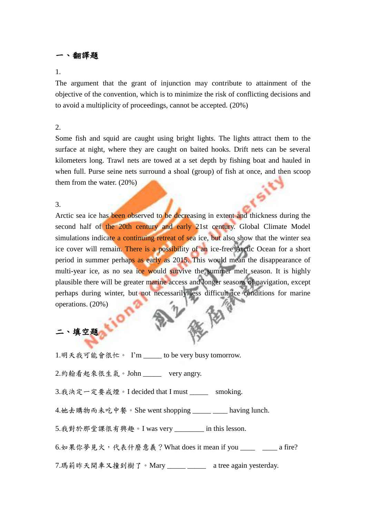### 翻譯題

#### 1.

The argument that the grant of injunction may contribute to attainment of the objective of the convention, which is to minimize the risk of conflicting decisions and to avoid a multiplicity of proceedings, cannot be accepted. (20%)

#### 2.

Some fish and squid are caught using bright lights. The lights attract them to the surface at night, where they are caught on baited hooks. Drift nets can be several kilometers long. Trawl nets are towed at a set depth by fishing boat and hauled in when full. Purse seine nets surround a shoal (group) of fish at once, and then scoop them from the water. (20%)

#### 3.

Arctic sea ice has been observed to be decreasing in extent and thickness during the second half of the 20th century and early 21st century. Global Climate Model simulations indicate a continuing retreat of sea ice, but also show that the winter sea ice cover will remain. There is a possibility of an ice-free Arctic Ocean for a short period in summer perhaps as early as 2015. This would mean the disappearance of multi-year ice, as no sea ice would survive the summer melt season. It is highly plausible there will be greater marine access and longer seasons of navigation, except perhaps during winter, but not necessarily less difficult ice conditions for marine operations. (20%)

### 二、填空題

1.明天我可能會很忙。 I'm to be very busy tomorrow.

2.約翰看起來很生氣。John very angry.

3.我決定一定要戒煙。I decided that I must smoking.

4.她去購物而未吃中餐。She went shopping \_\_\_\_\_ \_\_\_\_ having lunch.

5.我對於那堂課很有興趣。I was very \_\_\_\_\_\_\_\_ in this lesson.

6.如果你夢見火,代表什麼意義? What does it mean if you \_\_\_\_ \_\_\_ a fire?

7.瑪莉昨天開車又撞到樹了。Mary \_\_\_\_\_ \_\_\_\_\_ a tree again yesterday.